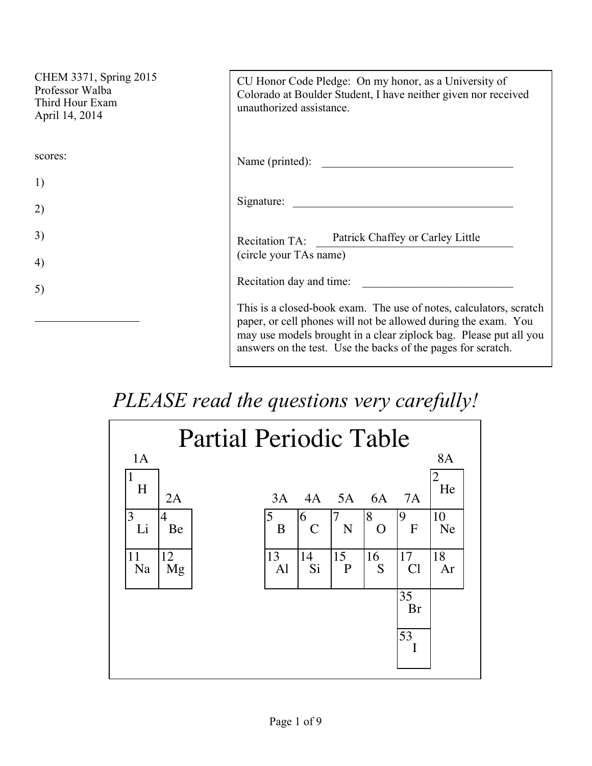| CHEM 3371, Spring 2015<br>Professor Walba<br>Third Hour Exam<br>April 14, 2014 | CU Honor Code Pledge: On my honor, as a University of<br>Colorado at Boulder Student, I have neither given nor received<br>unauthorized assistance.                                                                                                                       |
|--------------------------------------------------------------------------------|---------------------------------------------------------------------------------------------------------------------------------------------------------------------------------------------------------------------------------------------------------------------------|
| scores:                                                                        | Name (printed):                                                                                                                                                                                                                                                           |
| 1)                                                                             |                                                                                                                                                                                                                                                                           |
| 2)                                                                             | Signature:                                                                                                                                                                                                                                                                |
| 3)                                                                             | Patrick Chaffey or Carley Little<br><b>Recitation TA:</b><br>(circle your TAs name)                                                                                                                                                                                       |
| 4)                                                                             |                                                                                                                                                                                                                                                                           |
| 5)                                                                             | Recitation day and time:                                                                                                                                                                                                                                                  |
|                                                                                | This is a closed-book exam. The use of notes, calculators, scratch<br>paper, or cell phones will not be allowed during the exam. You<br>may use models brought in a clear ziplock bag. Please put all you<br>answers on the test. Use the backs of the pages for scratch. |

## *PLEASE read the questions very carefully!*

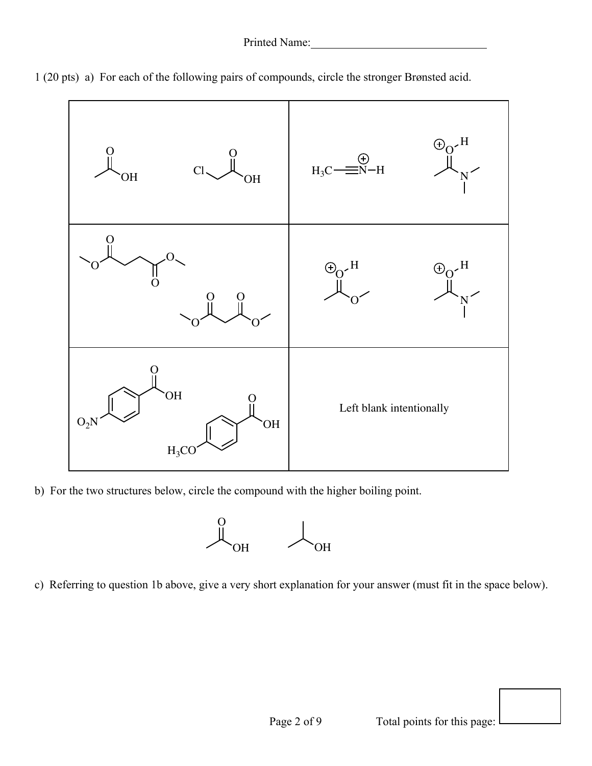

1 (20 pts) a) For each of the following pairs of compounds, circle the stronger Brønsted acid.

b) For the two structures below, circle the compound with the higher boiling point.



c) Referring to question 1b above, give a very short explanation for your answer (must fit in the space below).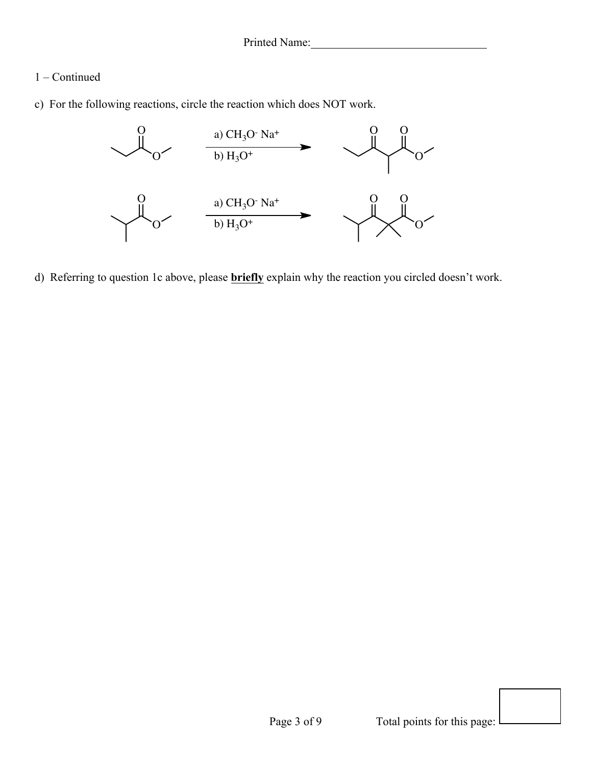## 1 – Continued

c) For the following reactions, circle the reaction which does NOT work.



d) Referring to question 1c above, please **briefly** explain why the reaction you circled doesn't work.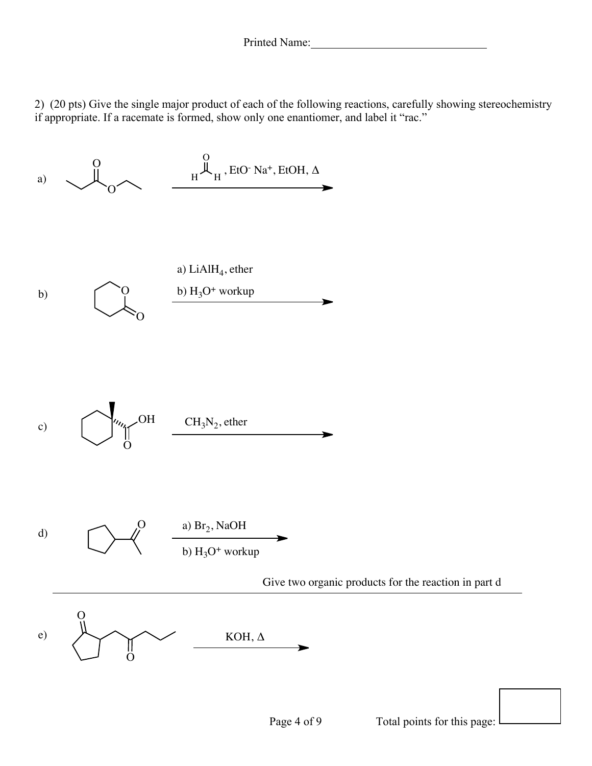2) (20 pts) Give the single major product of each of the following reactions, carefully showing stereochemistry if appropriate. If a racemate is formed, show only one enantiomer, and label it "rac."

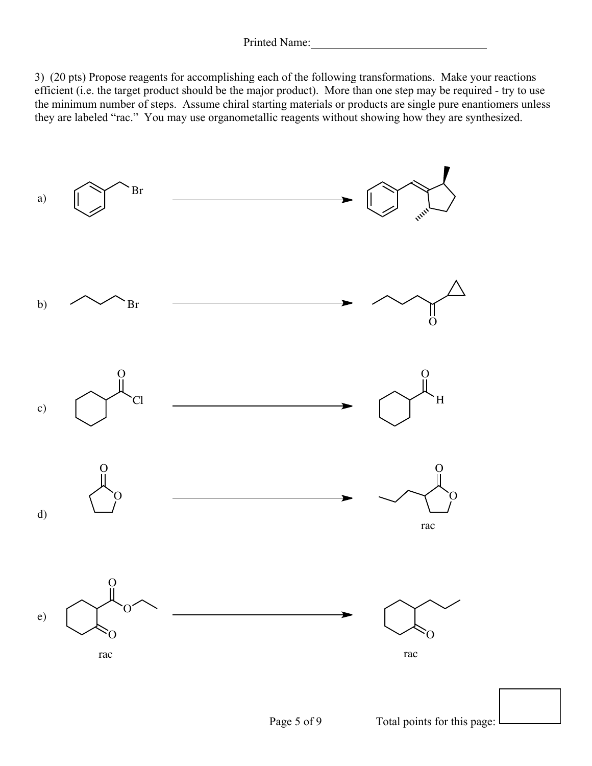3) (20 pts) Propose reagents for accomplishing each of the following transformations. Make your reactions efficient (i.e. the target product should be the major product). More than one step may be required - try to use the minimum number of steps. Assume chiral starting materials or products are single pure enantiomers unless they are labeled "rac." You may use organometallic reagents without showing how they are synthesized.

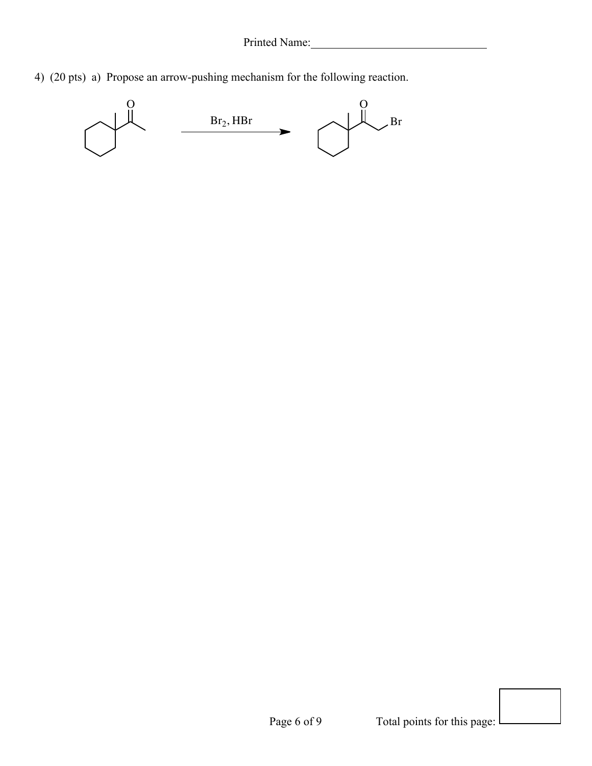4) (20 pts) a) Propose an arrow-pushing mechanism for the following reaction.

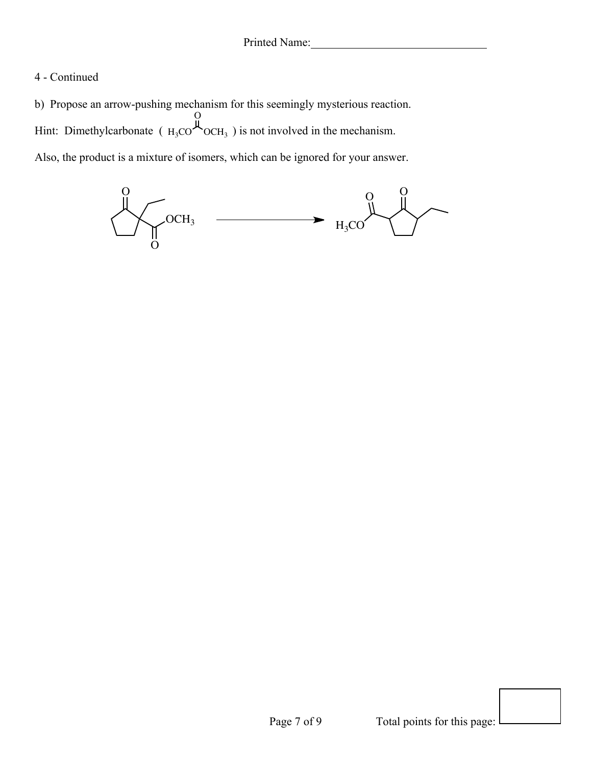## 4 - Continued

b) Propose an arrow-pushing mechanism for this seemingly mysterious reaction. Hint: Dimethylcarbonate ( $_{\text{H}_3\text{CO}}$  $\sim$ OCH<sub>3</sub>) is not involved in the mechanism. Also, the product is a mixture of isomers, which can be ignored for your answer.  $\overline{O}$  $OCH<sub>3</sub>$ 

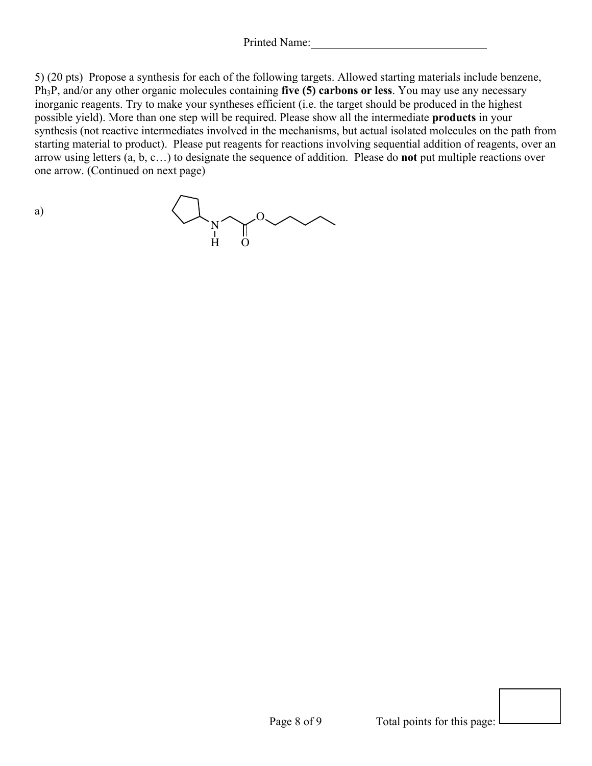Printed Name:

5) (20 pts) Propose a synthesis for each of the following targets. Allowed starting materials include benzene, Ph3P, and/or any other organic molecules containing **five (5) carbons or less**. You may use any necessary inorganic reagents. Try to make your syntheses efficient (i.e. the target should be produced in the highest possible yield). More than one step will be required. Please show all the intermediate **products** in your synthesis (not reactive intermediates involved in the mechanisms, but actual isolated molecules on the path from starting material to product). Please put reagents for reactions involving sequential addition of reagents, over an arrow using letters (a, b, c…) to designate the sequence of addition. Please do **not** put multiple reactions over one arrow. (Continued on next page)

N  $\gamma^0$ H O

a)